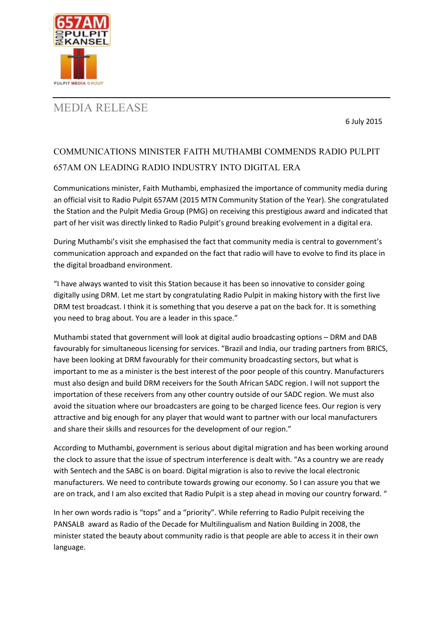

## MEDIA RELEASE

6 July 2015

## COMMUNICATIONS MINISTER FAITH MUTHAMBI COMMENDS RADIO PULPIT 657AM ON LEADING RADIO INDUSTRY INTO DIGITAL ERA

Communications minister, Faith Muthambi, emphasized the importance of community media during an official visit to Radio Pulpit 657AM (2015 MTN Community Station of the Year). She congratulated the Station and the Pulpit Media Group (PMG) on receiving this prestigious award and indicated that part of her visit was directly linked to Radio Pulpit's ground breaking evolvement in a digital era.

During Muthambi's visit she emphasised the fact that community media is central to government's communication approach and expanded on the fact that radio will have to evolve to find its place in the digital broadband environment.

"I have always wanted to visit this Station because it has been so innovative to consider going digitally using DRM. Let me start by congratulating Radio Pulpit in making history with the first live DRM test broadcast. I think it is something that you deserve a pat on the back for. It is something you need to brag about. You are a leader in this space."

Muthambi stated that government will look at digital audio broadcasting options – DRM and DAB favourably for simultaneous licensing for services. "Brazil and India, our trading partners from BRICS, have been looking at DRM favourably for their community broadcasting sectors, but what is important to me as a minister is the best interest of the poor people of this country. Manufacturers must also design and build DRM receivers for the South African SADC region. I will not support the importation of these receivers from any other country outside of our SADC region. We must also avoid the situation where our broadcasters are going to be charged licence fees. Our region is very attractive and big enough for any player that would want to partner with our local manufacturers and share their skills and resources for the development of our region."

According to Muthambi, government is serious about digital migration and has been working around the clock to assure that the issue of spectrum interference is dealt with. "As a country we are ready with Sentech and the SABC is on board. Digital migration is also to revive the local electronic manufacturers. We need to contribute towards growing our economy. So I can assure you that we are on track, and I am also excited that Radio Pulpit is a step ahead in moving our country forward. "

In her own words radio is "tops" and a "priority". While referring to Radio Pulpit receiving the PANSALB award as Radio of the Decade for Multilingualism and Nation Building in 2008, the minister stated the beauty about community radio is that people are able to access it in their own language.